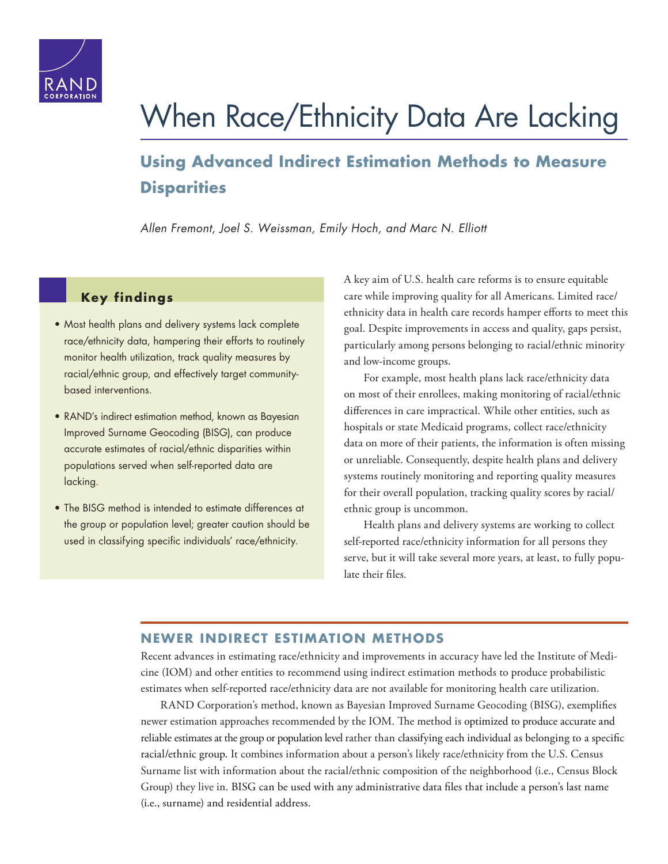

# [When Race/Ethnicity Data Are Lacking](http://www.rand.org/pubs/research_reports/RR1162.html)

# **Using Advanced Indirect Estimation Methods to Measure Disparities**

*Allen Fremont, Joel S. Weissman,* Emily Hoch, and *Marc N. Elliott* 

## **Key findings**

- Most health plans and delivery systems lack complete race/ethnicity data, hampering their efforts to routinely monitor health utilization, track quality measures by racial/ethnic group, and effectively target communitybased interventions.
- RAND's indirect estimation method, known as Bayesian Improved Surname Geocoding (BISG), can produce accurate estimates of racial/ethnic disparities within populations served when self-reported data are lacking.
- The BISG method is intended to estimate differences at the group or population level; greater caution should be used in classifying specific individuals' race/ethnicity.

A key aim of U.S. health care reforms is to ensure equitable care while improving quality for all Americans. Limited race/ ethnicity data in health care records hamper efforts to meet this goal. Despite improvements in access and quality, gaps persist, particularly among persons belonging to racial/ethnic minority and low-income groups.

For example, most health plans lack race/ethnicity data on most of their enrollees, making monitoring of racial/ethnic differences in care impractical. While other entities, such as hospitals or state Medicaid programs, collect race/ethnicity data on more of their patients, the information is often missing or unreliable. Consequently, despite health plans and delivery systems routinely monitoring and reporting quality measures for their overall population, tracking quality scores by racial/ ethnic group is uncommon.

Health plans and delivery systems are working to collect self-reported race/ethnicity information for all persons they serve, but it will take several more years, at least, to fully populate their files.

## **NEWER INDIRECT ESTIMATION METHODS**

Recent advances in estimating race/ethnicity and improvements in accuracy have led the Institute of Medicine (IOM) and other entities to recommend using indirect estimation methods to produce probabilistic estimates when self-reported race/ethnicity data are not available for monitoring health care utilization.

RAND Corporation's method, known as Bayesian Improved Surname Geocoding (BISG), exemplifies newer estimation approaches recommended by the IOM. The method is optimized to produce accurate and reliable estimates at the group or population level rather than classifying each individual as belonging to a specific racial/ethnic group. It combines information about a person's likely race/ethnicity from the U.S. Census Surname list with information about the racial/ethnic composition of the neighborhood (i.e., Census Block Group) they live in. BISG can be used with any administrative data files that include a person's last name (i.e., surname) and residential address.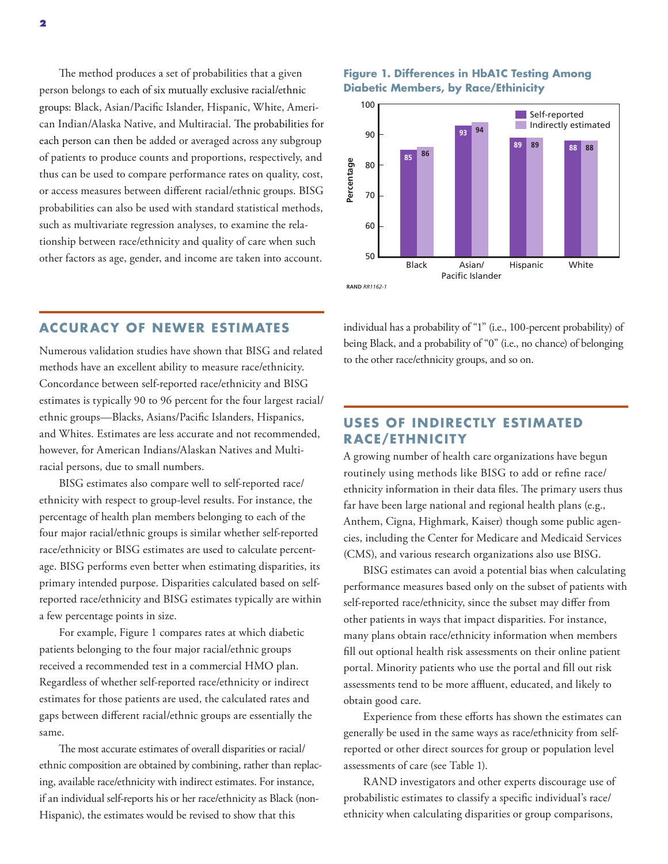The method produces a set of probabilities that a given person belongs to each of six mutually exclusive racial/ethnic groups: Black, Asian/Pacific Islander, Hispanic, White, American Indian/Alaska Native, and Multiracial. The probabilities for each person can then be added or averaged across any subgroup of patients to produce counts and proportions, respectively, and thus can be used to compare performance rates on quality, cost, or access measures between different racial/ethnic groups. BISG probabilities can also be used with standard statistical methods, such as multivariate regression analyses, to examine the relationship between race/ethnicity and quality of care when such other factors as age, gender, and income are taken into account.

## **ACCURACY OF NEWER ESTIMATES**

Numerous validation studies have shown that BISG and related methods have an excellent ability to measure race/ethnicity. Concordance between self-reported race/ethnicity and BISG estimates is typically 90 to 96 percent for the four largest racial/ ethnic groups—Blacks, Asians/Pacific Islanders, Hispanics, and Whites. Estimates are less accurate and not recommended, however, for American Indians/Alaskan Natives and Multiracial persons, due to small numbers.

BISG estimates also compare well to self-reported race/ ethnicity with respect to group-level results. For instance, the percentage of health plan members belonging to each of the four major racial/ethnic groups is similar whether self-reported race/ethnicity or BISG estimates are used to calculate percentage. BISG performs even better when estimating disparities, its primary intended purpose. Disparities calculated based on selfreported race/ethnicity and BISG estimates typically are within a few percentage points in size.

For example, Figure 1 compares rates at which diabetic patients belonging to the four major racial/ethnic groups received a recommended test in a commercial HMO plan. Regardless of whether self-reported race/ethnicity or indirect estimates for those patients are used, the calculated rates and gaps between different racial/ethnic groups are essentially the same.

The most accurate estimates of overall disparities or racial/ ethnic composition are obtained by combining, rather than replacing, available race/ethnicity with indirect estimates. For instance, if an individual self-reports his or her race/ethnicity as Black (non-Hispanic), the estimates would be revised to show that this

#### **Figure 1. Differences in HbA1C Testing Among Diabetic Members, by Race/Ethinicity**



individual has a probability of "1" (i.e., 100-percent probability) of being Black, and a probability of "0" (i.e., no chance) of belonging to the other race/ethnicity groups, and so on.

## **USES OF INDIRECTLY ESTIMATED RACE/ETHNICITY**

A growing number of health care organizations have begun routinely using methods like BISG to add or refine race/ ethnicity information in their data files. The primary users thus far have been large national and regional health plans (e.g., Anthem, Cigna, Highmark, Kaiser) though some public agencies, including the Center for Medicare and Medicaid Services (CMS), and various research organizations also use BISG.

BISG estimates can avoid a potential bias when calculating performance measures based only on the subset of patients with self-reported race/ethnicity, since the subset may differ from other patients in ways that impact disparities. For instance, many plans obtain race/ethnicity information when members fill out optional health risk assessments on their online patient portal. Minority patients who use the portal and fill out risk assessments tend to be more affluent, educated, and likely to obtain good care.

Experience from these efforts has shown the estimates can generally be used in the same ways as race/ethnicity from selfreported or other direct sources for group or population level assessments of care (see Table 1).

RAND investigators and other experts discourage use of probabilistic estimates to classify a specific individual's race/ ethnicity when calculating disparities or group comparisons,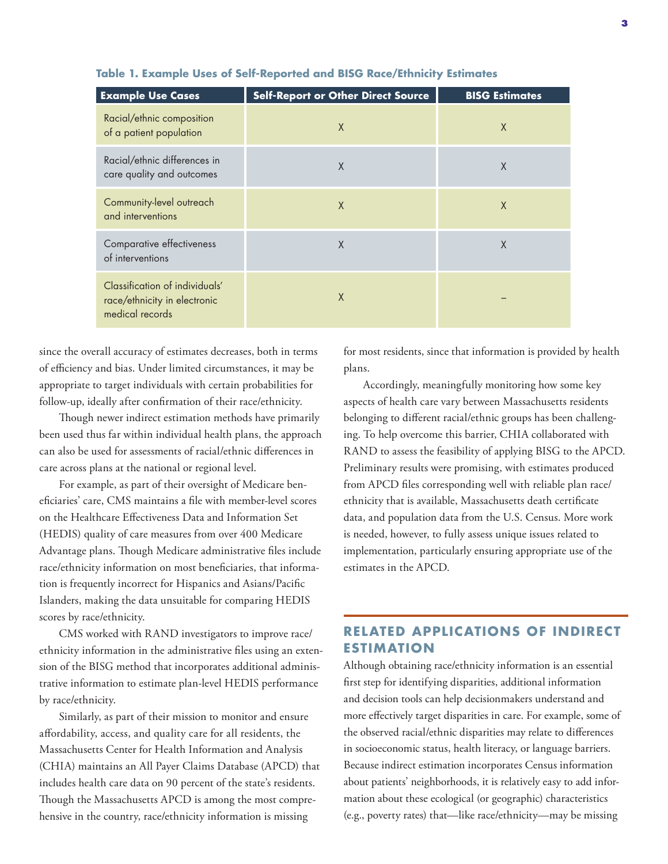| <b>Example Use Cases</b>                                                          | <b>Self-Report or Other Direct Source</b> | <b>BISG Estimates</b> |
|-----------------------------------------------------------------------------------|-------------------------------------------|-----------------------|
| Racial/ethnic composition<br>of a patient population                              | $\mathsf{X}$                              | X                     |
| Racial/ethnic differences in<br>care quality and outcomes                         | $\sf X$                                   | $\chi$                |
| Community-level outreach<br>and interventions                                     | $\mathsf{X}$                              | X                     |
| Comparative effectiveness<br>of interventions                                     | X                                         | X                     |
| Classification of individuals'<br>race/ethnicity in electronic<br>medical records | X                                         |                       |

#### **Table 1. Example Uses of Self-Reported and BISG Race/Ethnicity Estimates**

since the overall accuracy of estimates decreases, both in terms of efficiency and bias. Under limited circumstances, it may be appropriate to target individuals with certain probabilities for follow-up, ideally after confirmation of their race/ethnicity.

Though newer indirect estimation methods have primarily been used thus far within individual health plans, the approach can also be used for assessments of racial/ethnic differences in care across plans at the national or regional level.

For example, as part of their oversight of Medicare beneficiaries' care, CMS maintains a file with member-level scores on the Healthcare Effectiveness Data and Information Set (HEDIS) quality of care measures from over 400 Medicare Advantage plans. Though Medicare administrative files include race/ethnicity information on most beneficiaries, that information is frequently incorrect for Hispanics and Asians/Pacific Islanders, making the data unsuitable for comparing HEDIS scores by race/ethnicity.

CMS worked with RAND investigators to improve race/ ethnicity information in the administrative files using an extension of the BISG method that incorporates additional administrative information to estimate plan-level HEDIS performance by race/ethnicity.

Similarly, as part of their mission to monitor and ensure affordability, access, and quality care for all residents, the Massachusetts Center for Health Information and Analysis (CHIA) maintains an All Payer Claims Database (APCD) that includes health care data on 90 percent of the state's residents. Though the Massachusetts APCD is among the most comprehensive in the country, race/ethnicity information is missing

for most residents, since that information is provided by health plans.

Accordingly, meaningfully monitoring how some key aspects of health care vary between Massachusetts residents belonging to different racial/ethnic groups has been challenging. To help overcome this barrier, CHIA collaborated with RAND to assess the feasibility of applying BISG to the APCD. Preliminary results were promising, with estimates produced from APCD files corresponding well with reliable plan race/ ethnicity that is available, Massachusetts death certificate data, and population data from the U.S. Census. More work is needed, however, to fully assess unique issues related to implementation, particularly ensuring appropriate use of the estimates in the APCD.

## **RELATED APPLICATIONS OF INDIRECT ESTIMATION**

Although obtaining race/ethnicity information is an essential first step for identifying disparities, additional information and decision tools can help decisionmakers understand and more effectively target disparities in care. For example, some of the observed racial/ethnic disparities may relate to differences in socioeconomic status, health literacy, or language barriers. Because indirect estimation incorporates Census information about patients' neighborhoods, it is relatively easy to add information about these ecological (or geographic) characteristics (e.g., poverty rates) that—like race/ethnicity—may be missing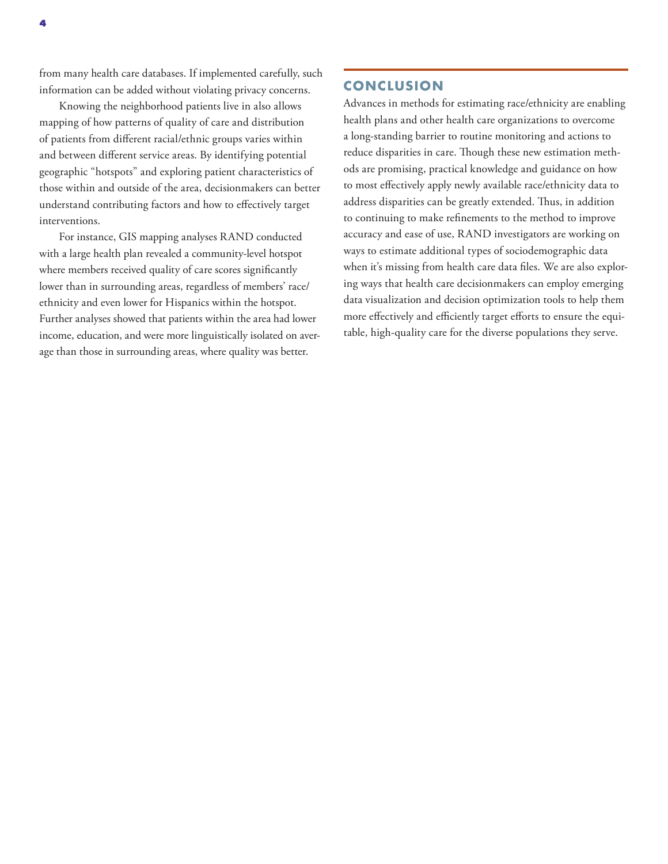from many health care databases. If implemented carefully, such information can be added without violating privacy concerns.

Knowing the neighborhood patients live in also allows mapping of how patterns of quality of care and distribution of patients from different racial/ethnic groups varies within and between different service areas. By identifying potential geographic "hotspots" and exploring patient characteristics of those within and outside of the area, decisionmakers can better understand contributing factors and how to effectively target interventions.

For instance, GIS mapping analyses RAND conducted with a large health plan revealed a community-level hotspot where members received quality of care scores significantly lower than in surrounding areas, regardless of members' race/ ethnicity and even lower for Hispanics within the hotspot. Further analyses showed that patients within the area had lower income, education, and were more linguistically isolated on average than those in surrounding areas, where quality was better.

#### **CONCLUSION**

Advances in methods for estimating race/ethnicity are enabling health plans and other health care organizations to overcome a long-standing barrier to routine monitoring and actions to reduce disparities in care. Though these new estimation methods are promising, practical knowledge and guidance on how to most effectively apply newly available race/ethnicity data to address disparities can be greatly extended. Thus, in addition to continuing to make refinements to the method to improve accuracy and ease of use, RAND investigators are working on ways to estimate additional types of sociodemographic data when it's missing from health care data files. We are also exploring ways that health care decisionmakers can employ emerging data visualization and decision optimization tools to help them more effectively and efficiently target efforts to ensure the equitable, high-quality care for the diverse populations they serve.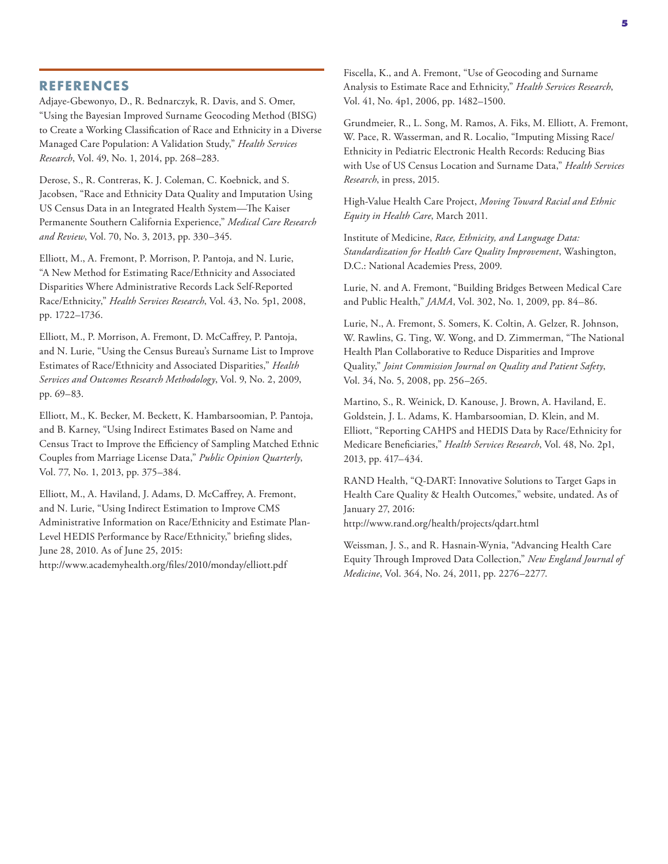#### **REFERENCES**

Adjaye‐Gbewonyo, D., R. Bednarczyk, R. Davis, and S. Omer, "Using the Bayesian Improved Surname Geocoding Method (BISG) to Create a Working Classification of Race and Ethnicity in a Diverse Managed Care Population: A Validation Study," *Health Services Research*, Vol. 49, No. 1, 2014, pp. 268–283.

Derose, S., R. Contreras, K. J. Coleman, C. Koebnick, and S. Jacobsen, "Race and Ethnicity Data Quality and Imputation Using US Census Data in an Integrated Health System—The Kaiser Permanente Southern California Experience," *Medical Care Research and Review*, Vol. 70, No. 3, 2013, pp. 330–345.

Elliott, M., A. Fremont, P. Morrison, P. Pantoja, and N. Lurie, "A New Method for Estimating Race/Ethnicity and Associated Disparities Where Administrative Records Lack Self‐Reported Race/Ethnicity," *Health Services Research*, Vol. 43, No. 5p1, 2008, pp. 1722–1736.

Elliott, M., P. Morrison, A. Fremont, D. McCaffrey, P. Pantoja, and N. Lurie, "Using the Census Bureau's Surname List to Improve Estimates of Race/Ethnicity and Associated Disparities," *Health Services and Outcomes Research Methodology*, Vol. 9, No. 2, 2009, pp. 69–83.

Elliott, M., K. Becker, M. Beckett, K. Hambarsoomian, P. Pantoja, and B. Karney, "Using Indirect Estimates Based on Name and Census Tract to Improve the Efficiency of Sampling Matched Ethnic Couples from Marriage License Data," *Public Opinion Quarterly*, Vol. 77, No. 1, 2013, pp. 375–384.

Elliott, M., A. Haviland, J. Adams, D. McCaffrey, A. Fremont, and N. Lurie, "Using Indirect Estimation to Improve CMS Administrative Information on Race/Ethnicity and Estimate Plan-Level HEDIS Performance by Race/Ethnicity," briefing slides, June 28, 2010. As of June 25, 2015:

<http://www.academyhealth.org/files/2010/monday/elliott.pdf>

Fiscella, K., and A. Fremont, "Use of Geocoding and Surname Analysis to Estimate Race and Ethnicity," *Health Services Research*, Vol. 41, No. 4p1, 2006, pp. 1482–1500.

Grundmeier, R., L. Song, M. Ramos, A. Fiks, M. Elliott, A. Fremont, W. Pace, R. Wasserman, and R. Localio, "Imputing Missing Race/ Ethnicity in Pediatric Electronic Health Records: Reducing Bias with Use of US Census Location and Surname Data," *Health Services Research*, in press, 2015.

High-Value Health Care Project, *Moving Toward Racial and Ethnic Equity in Health Care*, March 2011.

Institute of Medicine, *Race, Ethnicity, and Language Data: Standardization for Health Care Quality Improvement*, Washington, D.C.: National Academies Press, 2009.

Lurie, N. and A. Fremont, "Building Bridges Between Medical Care and Public Health," *JAMA*, Vol. 302, No. 1, 2009, pp. 84–86.

Lurie, N., A. Fremont, S. Somers, K. Coltin, A. Gelzer, R. Johnson, W. Rawlins, G. Ting, W. Wong, and D. Zimmerman, "The National Health Plan Collaborative to Reduce Disparities and Improve Quality," *Joint Commission Journal on Quality and Patient Safety*, Vol. 34, No. 5, 2008, pp. 256–265.

Martino, S., R. Weinick, D. Kanouse, J. Brown, A. Haviland, E. Goldstein, J. L. Adams, K. Hambarsoomian, D. Klein, and M. Elliott, "Reporting CAHPS and HEDIS Data by Race/Ethnicity for Medicare Beneficiaries," *Health Services Research*, Vol. 48, No. 2p1, 2013, pp. 417–434.

RAND Health, "Q-DART: Innovative Solutions to Target Gaps in Health Care Quality & Health Outcomes," website, undated. As of January 27, 2016:

<http://www.rand.org/health/projects/qdart.html>

Weissman, J. S., and R. Hasnain-Wynia, "Advancing Health Care Equity Through Improved Data Collection," *New England Journal of Medicine*, Vol. 364, No. 24, 2011, pp. 2276–2277.